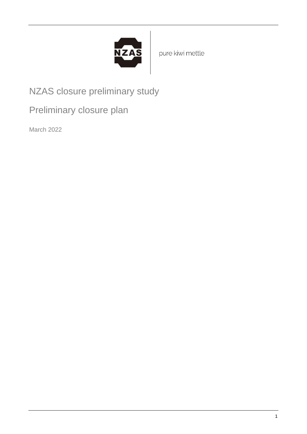

pure kiwi mettle

NZAS closure preliminary study

Preliminary closure plan

March 2022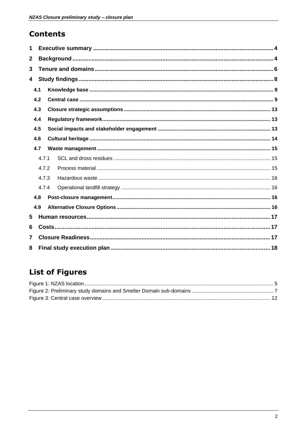### **Contents**

| 1              |       |  |  |  |  |  |
|----------------|-------|--|--|--|--|--|
| $\mathbf 2$    |       |  |  |  |  |  |
| 3              |       |  |  |  |  |  |
| 4              |       |  |  |  |  |  |
|                | 4.1   |  |  |  |  |  |
|                | 4.2   |  |  |  |  |  |
| 4.3            |       |  |  |  |  |  |
| 4.4            |       |  |  |  |  |  |
| 4.5            |       |  |  |  |  |  |
|                | 4.6   |  |  |  |  |  |
| 4.7            |       |  |  |  |  |  |
|                | 4.7.1 |  |  |  |  |  |
|                | 4.7.2 |  |  |  |  |  |
|                | 4.7.3 |  |  |  |  |  |
|                | 4.7.4 |  |  |  |  |  |
| 4.8            |       |  |  |  |  |  |
|                | 4.9   |  |  |  |  |  |
| 5              |       |  |  |  |  |  |
| 6              |       |  |  |  |  |  |
| $\overline{7}$ |       |  |  |  |  |  |
| 8              |       |  |  |  |  |  |

# **List of Figures**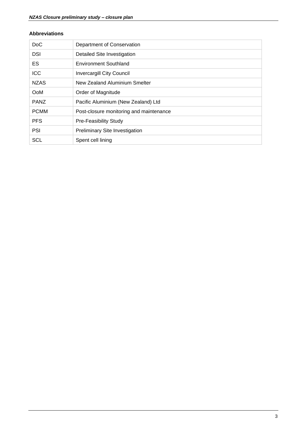#### **Abbreviations**

| D <sub>o</sub> C | Department of Conservation              |
|------------------|-----------------------------------------|
| <b>DSI</b>       | Detailed Site Investigation             |
| <b>ES</b>        | <b>Environment Southland</b>            |
| <b>ICC</b>       | <b>Invercargill City Council</b>        |
| <b>NZAS</b>      | New Zealand Aluminium Smelter           |
| OoM              | Order of Magnitude                      |
| <b>PANZ</b>      | Pacific Aluminium (New Zealand) Ltd     |
| <b>PCMM</b>      | Post-closure monitoring and maintenance |
| <b>PFS</b>       | <b>Pre-Feasibility Study</b>            |
| <b>PSI</b>       | <b>Preliminary Site Investigation</b>   |
| <b>SCL</b>       | Spent cell lining                       |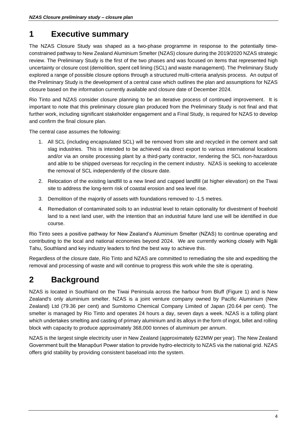# <span id="page-3-0"></span>**1 Executive summary**

The NZAS Closure Study was shaped as a two-phase programme in response to the potentially timeconstrained pathway to New Zealand Aluminium Smelter (NZAS) closure during the 2019/2020 NZAS strategic review. The Preliminary Study is the first of the two phases and was focused on items that represented high uncertainty or closure cost (demolition, spent cell lining (SCL) and waste management). The Preliminary Study explored a range of possible closure options through a structured multi-criteria analysis process. An output of the Preliminary Study is the development of a central case which outlines the plan and assumptions for NZAS closure based on the information currently available and closure date of December 2024.

Rio Tinto and NZAS consider closure planning to be an iterative process of continued improvement. It is important to note that this preliminary closure plan produced from the Preliminary Study is not final and that further work, including significant stakeholder engagement and a Final Study, is required for NZAS to develop and confirm the final closure plan.

The central case assumes the following:

- 1. All SCL (including encapsulated SCL) will be removed from site and recycled in the cement and salt slag industries. This is intended to be achieved via direct export to various international locations and/or via an onsite processing plant by a third-party contractor, rendering the SCL non-hazardous and able to be shipped overseas for recycling in the cement industry. NZAS is seeking to accelerate the removal of SCL independently of the closure date.
- 2. Relocation of the existing landfill to a new lined and capped landfill (at higher elevation) on the Tiwai site to address the long-term risk of coastal erosion and sea level rise.
- 3. Demolition of the majority of assets with foundations removed to -1.5 metres.
- 4. Remediation of contaminated soils to an industrial level to retain optionality for divestment of freehold land to a next land user, with the intention that an industrial future land use will be identified in due course.

Rio Tinto sees a positive pathway for New Zealand's Aluminium Smelter (NZAS) to continue operating and contributing to the local and national economies beyond 2024. We are currently working closely with Ngāi Tahu, Southland and key industry leaders to find the best way to achieve this.

Regardless of the closure date, Rio Tinto and NZAS are committed to remediating the site and expediting the removal and processing of waste and will continue to progress this work while the site is operating.

# <span id="page-3-1"></span>**2 Background**

NZAS is located in Southland on the Tiwai Peninsula across the harbour from Bluff [\(Figure 1\)](#page-4-0) and is New Zealand's only aluminium smelter. NZAS is a joint venture company owned by Pacific Aluminium (New Zealand) Ltd (79.36 per cent) and Sumitomo Chemical Company Limited of Japan (20.64 per cent). The smelter is managed by Rio Tinto and operates 24 hours a day, seven days a week. NZAS is a tolling plant which undertakes smelting and casting of primary aluminium and its alloys in the form of ingot, billet and rolling block with capacity to produce approximately 368,000 tonnes of aluminium per annum.

NZAS is the largest single electricity user in New Zealand (approximately 622MW per year). The New Zealand Government built the Manapōuri Power station to provide hydro-electricity to NZAS via the national grid. NZAS offers grid stability by providing consistent baseload into the system.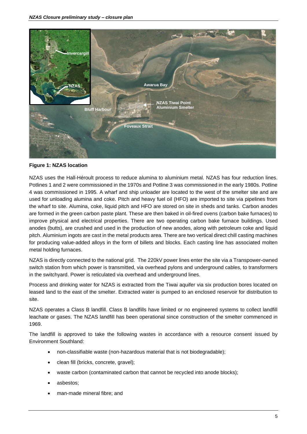

**Figure 1: NZAS location**

<span id="page-4-0"></span>NZAS uses the Hall-Héroult process to reduce alumina to aluminium metal. NZAS has four reduction lines. Potlines 1 and 2 were commissioned in the 1970s and Potline 3 was commissioned in the early 1980s. Potline 4 was commissioned in 1995. A wharf and ship unloader are located to the west of the smelter site and are used for unloading alumina and coke. Pitch and heavy fuel oil (HFO) are imported to site via pipelines from the wharf to site. Alumina, coke, liquid pitch and HFO are stored on site in sheds and tanks. Carbon anodes are formed in the green carbon paste plant. These are then baked in oil-fired ovens (carbon bake furnaces) to improve physical and electrical properties. There are two operating carbon bake furnace buildings. Used anodes (butts), are crushed and used in the production of new anodes, along with petroleum coke and liquid pitch. Aluminium ingots are cast in the metal products area. There are two vertical direct chill casting machines for producing value-added alloys in the form of billets and blocks. Each casting line has associated molten metal holding furnaces.

NZAS is directly connected to the national grid. The 220kV power lines enter the site via a Transpower-owned switch station from which power is transmitted, via overhead pylons and underground cables, to transformers in the switchyard. Power is reticulated via overhead and underground lines.

Process and drinking water for NZAS is extracted from the Tiwai aquifer via six production bores located on leased land to the east of the smelter. Extracted water is pumped to an enclosed reservoir for distribution to site.

NZAS operates a Class B landfill. Class B landfills have limited or no engineered systems to collect landfill leachate or gases. The NZAS landfill has been operational since construction of the smelter commenced in 1969.

The landfill is approved to take the following wastes in accordance with a resource consent issued by Environment Southland:

- non-classifiable waste (non-hazardous material that is not biodegradable);
- clean fill (bricks, concrete, gravel);
- waste carbon (contaminated carbon that cannot be recycled into anode blocks);
- asbestos;
- man-made mineral fibre; and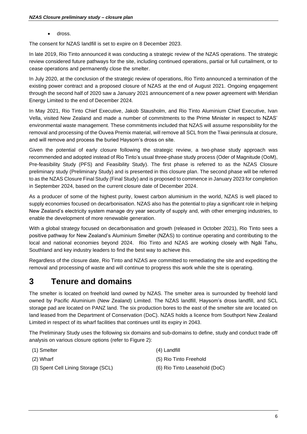• dross.

The consent for NZAS landfill is set to expire on 8 December 2023.

In late 2019, Rio Tinto announced it was conducting a strategic review of the NZAS operations. The strategic review considered future pathways for the site, including continued operations, partial or full curtailment, or to cease operations and permanently close the smelter.

In July 2020, at the conclusion of the strategic review of operations, Rio Tinto announced a termination of the existing power contract and a proposed closure of NZAS at the end of August 2021. Ongoing engagement through the second half of 2020 saw a January 2021 announcement of a new power agreement with Meridian Energy Limited to the end of December 2024.

In May 2021, Rio Tinto Chief Executive, Jakob Stausholm, and Rio Tinto Aluminium Chief Executive, Ivan Vella, visited New Zealand and made a number of commitments to the Prime Minister in respect to NZAS' environmental waste management. These commitments included that NZAS will assume responsibility for the removal and processing of the Ouvea Premix material, will remove all SCL from the Tiwai peninsula at closure, and will remove and process the buried Haysom's dross on site.

Given the potential of early closure following the strategic review, a two-phase study approach was recommended and adopted instead of Rio Tinto's usual three-phase study process (Oder of Magnitude (OoM), Pre-feasibility Study (PFS) and Feasibility Study). The first phase is referred to as the NZAS Closure preliminary study (Preliminary Study) and is presented in this closure plan. The second phase will be referred to as the NZAS Closure Final Study (Final Study) and is proposed to commence in January 2023 for completion in September 2024, based on the current closure date of December 2024.

As a producer of some of the highest purity, lowest carbon aluminium in the world, NZAS is well placed to supply economies focused on decarbonisation. NZAS also has the potential to play a significant role in helping New Zealand's electricity system manage dry year security of supply and, with other emerging industries, to enable the development of more renewable generation.

With a global strategy focused on decarbonisation and growth (released in October 2021), Rio Tinto sees a positive pathway for New Zealand's Aluminium Smelter (NZAS) to continue operating and contributing to the local and national economies beyond 2024. Rio Tinto and NZAS are working closely with Ngāi Tahu, Southland and key industry leaders to find the best way to achieve this.

Regardless of the closure date, Rio Tinto and NZAS are committed to remediating the site and expediting the removal and processing of waste and will continue to progress this work while the site is operating.

## <span id="page-5-0"></span>**3 Tenure and domains**

The smelter is located on freehold land owned by NZAS. The smelter area is surrounded by freehold land owned by Pacific Aluminium (New Zealand) Limited. The NZAS landfill, Haysom's dross landfill, and SCL storage pad are located on PANZ land. The six production bores to the east of the smelter site are located on land leased from the Department of Conservation (DoC). NZAS holds a licence from Southport New Zealand Limited in respect of its wharf facilities that continues until its expiry in 2043.

The Preliminary Study uses the following six domains and sub-domains to define, study and conduct trade off analysis on various closure options (refer to [Figure 2\)](#page-6-0):

- (1) Smelter (4) Landfill
- 
- (3) Spent Cell Lining Storage (SCL) (6) Rio Tinto Leasehold (DoC)
- 
- (2) Wharf (5) Rio Tinto Freehold
	-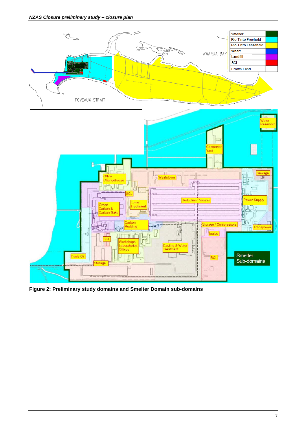*NZAS Closure preliminary study – closure plan*



<span id="page-6-0"></span>**Figure 2: Preliminary study domains and Smelter Domain sub-domains**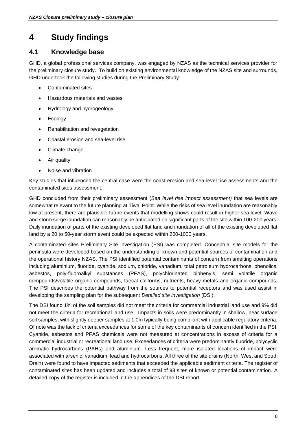# <span id="page-7-0"></span>**4 Study findings**

### <span id="page-7-1"></span>**4.1 Knowledge base**

GHD, a global professional services company, was engaged by NZAS as the technical services provider for the preliminary closure study. To build on existing environmental knowledge of the NZAS site and surrounds, GHD undertook the following studies during the Preliminary Study:

- Contaminated sites
- Hazardous materials and wastes
- Hydrology and hydrogeology
- Ecology
- Rehabilitation and revegetation
- Coastal erosion and sea-level rise
- Climate change
- Air quality
- Noise and vibration

Key studies that influenced the central case were the coast erosion and sea-level rise assessments and the contaminated sites assessment.

GHD concluded from their preliminary assessment (*Sea level rise impact assessment)* that sea levels are somewhat relevant to the future planning at Tiwai Point. While the risks of sea level inundation are reasonably low at present, there are plausible future events that modelling shows could result in higher sea level. Wave and storm surge inundation can reasonably be anticipated on significant parts of the site within 100-200 years. Daily inundation of parts of the existing developed flat land and inundation of all of the existing developed flat land by a 20 to 50-year storm event could be expected within 200-1000 years.

A contaminated sites Preliminary Site Investigation (PSI) was completed. Conceptual site models for the peninsula were developed based on the understanding of known and potential sources of contamination and the operational history NZAS. The PSI identified potential contaminants of concern from smelting operations including aluminium, fluoride, cyanide, sodium, chloride, vanadium, total petroleum hydrocarbons, phenolics, asbestos, poly-fluoroalkyl substances (PFAS), polychlorinated biphenyls, semi volatile organic compounds/volatile organic compounds, faecal coliforms, nutrients, heavy metals and organic compounds. The PSI describes the potential pathway from the sources to potential receptors and was used assist in developing the sampling plan for the subsequent *Detailed site investigation* (DSI).

The DSI found 1% of the soil samples did not meet the criteria for commercial industrial land use and 9% did not meet the criteria for recreational land use. Impacts in soils were predominantly in shallow, near surface soil samples, with slightly deeper samples at 1.0m typically being compliant with applicable regulatory criteria. Of note was the lack of criteria exceedances for some of the key contaminants of concern identified in the PSI. Cyanide, asbestos and PFAS chemicals were not measured at concentrations in excess of criteria for a commercial industrial or recreational land use. Exceedances of criteria were predominantly fluoride, polycyclic aromatic hydrocarbons (PAHs) and aluminium. Less frequent, more isolated locations of impact were associated with arsenic, vanadium, lead and hydrocarbons. All three of the site drains (North, West and South Drain) were found to have impacted sediments that exceeded the applicable sediment criteria. The register of contaminated sites has been updated and includes a total of 93 sites of known or potential contamination. A detailed copy of the register is included in the appendices of the DSI report.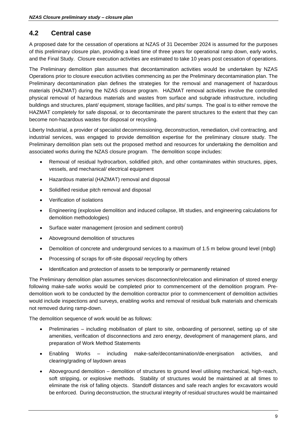### <span id="page-8-0"></span>**4.2 Central case**

A proposed date for the cessation of operations at NZAS of 31 December 2024 is assumed for the purposes of this preliminary closure plan, providing a lead time of three years for operational ramp down, early works, and the Final Study. Closure execution activities are estimated to take 10 years post cessation of operations.

The Preliminary demolition plan assumes that decontamination activities would be undertaken by NZAS Operations prior to closure execution activities commencing as per the Preliminary decontamination plan. The Preliminary decontamination plan defines the strategies for the removal and management of hazardous materials (HAZMAT) during the NZAS closure program. HAZMAT removal activities involve the controlled physical removal of hazardous materials and wastes from surface and subgrade infrastructure, including buildings and structures, plant/ equipment, storage facilities, and pits/ sumps. The goal is to either remove the HAZMAT completely for safe disposal, or to decontaminate the parent structures to the extent that they can become non-hazardous wastes for disposal or recycling.

Liberty Industrial, a provider of specialist decommissioning, deconstruction, remediation, civil contracting, and industrial services, was engaged to provide demolition expertise for the preliminary closure study. The Preliminary demolition plan sets out the proposed method and resources for undertaking the demolition and associated works during the NZAS closure program. The demolition scope includes:

- Removal of residual hydrocarbon, solidified pitch, and other contaminates within structures, pipes, vessels, and mechanical/ electrical equipment
- Hazardous material (HAZMAT) removal and disposal
- Solidified residue pitch removal and disposal
- Verification of isolations
- Engineering (explosive demolition and induced collapse, lift studies, and engineering calculations for demolition methodologies)
- Surface water management (erosion and sediment control)
- Aboveground demolition of structures
- Demolition of concrete and underground services to a maximum of 1.5 m below ground level (mbgl)
- Processing of scraps for off-site disposal/ recycling by others
- Identification and protection of assets to be temporarily or permanently retained

The Preliminary demolition plan assumes services disconnection/relocation and elimination of stored energy following make-safe works would be completed prior to commencement of the demolition program. Predemolition work to be conducted by the demolition contractor prior to commencement of demolition activities would include inspections and surveys, enabling works and removal of residual bulk materials and chemicals not removed during ramp-down.

The demolition sequence of work would be as follows:

- Preliminaries including mobilisation of plant to site, onboarding of personnel, setting up of site amenities, verification of disconnections and zero energy, development of management plans, and preparation of Work Method Statements
- Enabling Works including make-safe/decontamination/de-energisation activities, and clearing/grading of laydown areas
- Aboveground demolition demolition of structures to ground level utilising mechanical, high-reach, soft stripping, or explosive methods. Stability of structures would be maintained at all times to eliminate the risk of falling objects. Standoff distances and safe reach angles for excavators would be enforced. During deconstruction, the structural integrity of residual structures would be maintained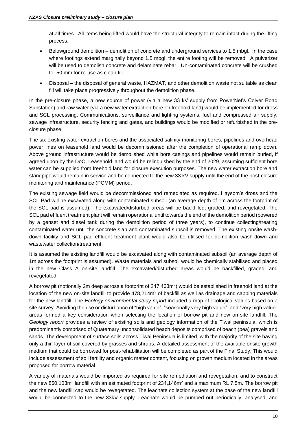at all times. All items being lifted would have the structural integrity to remain intact during the lifting process.

- Belowground demolition demolition of concrete and underground services to 1.5 mbgl. In the case where footings extend marginally beyond 1.5 mbgl, the entire footing will be removed. A pulverizer will be used to demolish concrete and delaminate rebar. Un-contaminated concrete will be crushed to -50 mm for re-use as clean fill.
- Disposal the disposal of general waste, HAZMAT, and other demolition waste not suitable as clean fill will take place progressively throughout the demolition phase.

In the pre-closure phase, a new source of power (via a new 33 kV supply from PowerNet's Colyer Road Substation) and raw water (via a new water extraction bore on freehold land) would be implemented for dross and SCL processing. Communications, surveillance and lighting systems, fuel and compressed air supply, sewage infrastructure, security fencing and gates, and buildings would be modified or refurbished in the preclosure phase.

The six existing water extraction bores and the associated salinity monitoring bores, pipelines and overhead power lines on leasehold land would be decommissioned after the completion of operational ramp down. Above ground infrastructure would be demolished while bore casings and pipelines would remain buried, if agreed upon by the DoC. Leasehold land would be relinquished by the end of 2029, assuming sufficient bore water can be supplied from freehold land for closure execution purposes. The new water extraction bore and standpipe would remain in service and be connected to the new 33 kV supply until the end of the post-closure monitoring and maintenance (PCMM) period.

The existing sewage field would be decommissioned and remediated as required. Haysom's dross and the SCL Pad will be excavated along with contaminated subsoil (an average depth of 1m across the footprint of the SCL pad is assumed). The excavated/disturbed areas will be backfilled, graded, and revegetated. The SCL pad effluent treatment plant will remain operational until towards the end of the demolition period (powered by a genset and diesel tank during the demolition period of three years), to continue collecting/treating contaminated water until the concrete slab and contaminated subsoil is removed. The existing onsite washdown facility and SCL pad effluent treatment plant would also be utilised for demolition wash-down and wastewater collection/treatment.

It is assumed the existing landfill would be excavated along with contaminated subsoil (an average depth of 1m across the footprint is assumed). Waste materials and subsoil would be chemically stabilised and placed in the new Class A on-site landfill. The excavated/disturbed areas would be backfilled, graded, and revegetated.

A borrow pit (notionally 2m deep across a footprint of 247,463m<sup>2</sup>) would be established in freehold land at the location of the new on-site landfill to provide  $478.214<sup>m3</sup>$  of backfill as well as drainage and capping materials for the new landfill. The *Ecology environmental study report* included a map of ecological values based on a site survey. Avoiding the use or disturbance of "high value", "seasonally very high value", and "very high value" areas formed a key consideration when selecting the location of borrow pit and new on-site landfill. The *Geology report* provides a review of existing soils and geology information of the Tiwai peninsula, which is predominantly comprised of Quaternary unconsolidated beach deposits comprised of beach (pea) gravels and sands. The development of surface soils across Tiwai Peninsula is limited, with the majority of the site having only a thin layer of soil covered by grasses and shrubs. A detailed assessment of the available onsite growth medium that could be borrowed for post-rehabilitation will be completed as part of the Final Study. This would include assessment of soil fertility and organic matter content, focusing on growth medium located in the areas proposed for borrow material.

A variety of materials would be imported as required for site remediation and revegetation, and to construct the new 860,103m<sup>3</sup> landfill with an estimated footprint of 234,146m<sup>2</sup> and a maximum RL 7.5m. The borrow pit and the new landfill cap would be revegetated. The leachate collection system at the base of the new landfill would be connected to the new 33kV supply. Leachate would be pumped out periodically, analysed, and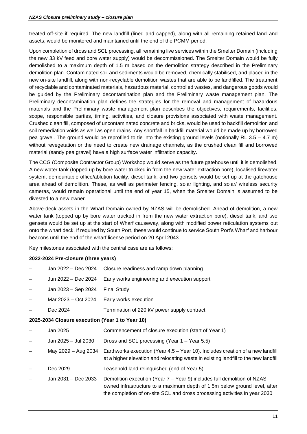treated off-site if required. The new landfill (lined and capped), along with all remaining retained land and assets, would be monitored and maintained until the end of the PCMM period.

Upon completion of dross and SCL processing, all remaining live services within the Smelter Domain (including the new 33 kV feed and bore water supply) would be decommissioned. The Smelter Domain would be fully demolished to a maximum depth of 1.5 m based on the demolition strategy described in the Preliminary demolition plan. Contaminated soil and sediments would be removed, chemically stabilised, and placed in the new on-site landfill, along with non-recyclable demolition wastes that are able to be landfilled. The treatment of recyclable and contaminated materials, hazardous material, controlled wastes, and dangerous goods would be guided by the Preliminary decontamination plan and the Preliminary waste management plan. The Preliminary decontamination plan defines the strategies for the removal and management of hazardous materials and the Preliminary waste management plan describes the objectives, requirements, facilities, scope, responsible parties, timing, activities, and closure provisions associated with waste management. Crushed clean fill, composed of uncontaminated concrete and bricks, would be used to backfill demolition and soil remediation voids as well as open drains. Any shortfall in backfill material would be made up by borrowed pea gravel. The ground would be reprofiled to tie into the existing ground levels (notionally RL 3.5 – 4.7 m) without revegetation or the need to create new drainage channels, as the crushed clean fill and borrowed material (sandy pea gravel) have a high surface water infiltration capacity.

The CCG (Composite Contractor Group) Workshop would serve as the future gatehouse until it is demolished. A new water tank (topped up by bore water trucked in from the new water extraction bore), localised firewater system, demountable office/ablution facility, diesel tank, and two gensets would be set up at the gatehouse area ahead of demolition. These, as well as perimeter fencing, solar lighting, and solar/ wireless security cameras, would remain operational until the end of year 15, when the Smelter Domain is assumed to be divested to a new owner.

Above-deck assets in the Wharf Domain owned by NZAS will be demolished. Ahead of demolition, a new water tank (topped up by bore water trucked in from the new water extraction bore), diesel tank, and two gensets would be set up at the start of Wharf causeway, along with modified power reticulation systems out onto the wharf deck. If required by South Port, these would continue to service South Port's Wharf and harbour beacons until the end of the wharf license period on 20 April 2043.

Key milestones associated with the central case are as follows:

#### **2022-2024 Pre-closure (three years)**

|                                                 | Jan 2022 – Dec 2024 | Closure readiness and ramp down planning                                                                                                                                                                                           |  |  |  |  |
|-------------------------------------------------|---------------------|------------------------------------------------------------------------------------------------------------------------------------------------------------------------------------------------------------------------------------|--|--|--|--|
|                                                 | Jun 2022 - Dec 2024 | Early works engineering and execution support                                                                                                                                                                                      |  |  |  |  |
|                                                 | Jan 2023 - Sep 2024 | <b>Final Study</b>                                                                                                                                                                                                                 |  |  |  |  |
|                                                 | Mar 2023 - Oct 2024 | Early works execution                                                                                                                                                                                                              |  |  |  |  |
|                                                 | Dec 2024            | Termination of 220 kV power supply contract                                                                                                                                                                                        |  |  |  |  |
| 2025-2034 Closure execution (Year 1 to Year 10) |                     |                                                                                                                                                                                                                                    |  |  |  |  |
|                                                 | Jan 2025            | Commencement of closure execution (start of Year 1)                                                                                                                                                                                |  |  |  |  |
|                                                 | Jan 2025 - Jul 2030 | Dross and SCL processing (Year 1 – Year 5.5)                                                                                                                                                                                       |  |  |  |  |
|                                                 | May 2029 - Aug 2034 | Earthworks execution (Year 4.5 – Year 10). Includes creation of a new landfill<br>at a higher elevation and relocating waste in existing landfill to the new landfill                                                              |  |  |  |  |
|                                                 | Dec 2029            | Leasehold land relinguished (end of Year 5)                                                                                                                                                                                        |  |  |  |  |
|                                                 | Jan 2031 – Dec 2033 | Demolition execution (Year 7 – Year 9) includes full demolition of NZAS<br>owned infrastructure to a maximum depth of 1.5m below ground level, after<br>the completion of on-site SCL and dross processing activities in year 2030 |  |  |  |  |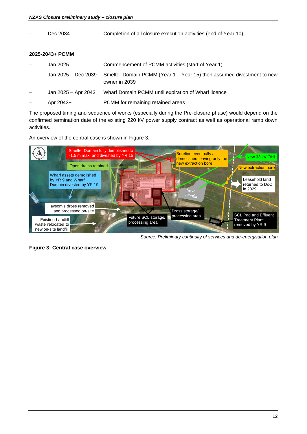| Dec 2034            | Completion of all closure execution activities (end of Year 10)                        |
|---------------------|----------------------------------------------------------------------------------------|
| 2025-2043+ PCMM     |                                                                                        |
| Jan 2025            | Commencement of PCMM activities (start of Year 1)                                      |
| Jan 2025 - Dec 2039 | Smelter Domain PCMM (Year 1 – Year 15) then assumed divestment to new<br>owner in 2039 |
| Jan 2025 - Apr 2043 | Wharf Domain PCMM until expiration of Wharf licence                                    |
| Apr 2043+           | PCMM for remaining retained areas                                                      |
|                     |                                                                                        |

The proposed timing and sequence of works (especially during the Pre-closure phase) would depend on the confirmed termination date of the existing 220 kV power supply contract as well as operational ramp down activities.

An overview of the central case is shown in [Figure 3.](#page-11-0)



*Source: Preliminary continuity of services and de-energisation plan*

<span id="page-11-0"></span>Figure 3: Central case overview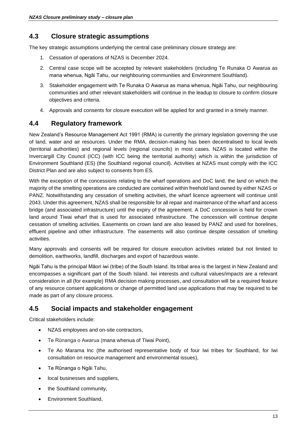### <span id="page-12-0"></span>**4.3 Closure strategic assumptions**

The key strategic assumptions underlying the central case preliminary closure strategy are:

- 1. Cessation of operations of NZAS is December 2024.
- 2. Central case scope will be accepted by relevant stakeholders (including Te Runaka O Awarua as mana whenua, Ngāi Tahu, our neighbouring communities and Environment Southland).
- 3. Stakeholder engagement with Te Runaka O Awarua as mana whenua, Ngāi Tahu, our neighbouring communities and other relevant stakeholders will continue in the leadup to closure to confirm closure objectives and criteria.
- 4. Approvals and consents for closure execution will be applied for and granted in a timely manner.

### <span id="page-12-1"></span>**4.4 Regulatory framework**

New Zealand's Resource Management Act 1991 (RMA) is currently the primary legislation governing the use of land, water and air resources. Under the RMA, decision-making has been decentralised to local levels (territorial authorities) and regional levels (regional councils) in most cases. NZAS is located within the Invercargill City Council (ICC) (with ICC being the territorial authority) which is within the jurisdiction of Environment Southland (ES) (the Southland regional council). Activities at NZAS must comply with the ICC District Plan and are also subject to consents from ES.

With the exception of the concessions relating to the wharf operations and DoC land, the land on which the majority of the smelting operations are conducted are contained within freehold land owned by either NZAS or PANZ. Notwithstanding any cessation of smelting activities, the wharf licence agreement will continue until 2043. Under this agreement, NZAS shall be responsible for all repair and maintenance of the wharf and access bridge (and associated infrastructure) until the expiry of the agreement. A DoC concession is held for crown land around Tiwai wharf that is used for associated infrastructure. The concession will continue despite cessation of smelting activities. Easements on crown land are also leased by PANZ and used for borelines, effluent pipeline and other infrastructure. The easements will also continue despite cessation of smelting activities.

Many approvals and consents will be required for closure execution activities related but not limited to demolition, earthworks, landfill, discharges and export of hazardous waste.

Ngāi Tahu is the principal Māori iwi (tribe) of the South Island. Its tribal area is the largest in New Zealand and encompasses a significant part of the South Island. Iwi interests and cultural values/impacts are a relevant consideration in all (for example) RMA decision making processes, and consultation will be a required feature of any resource consent applications or change of permitted land use applications that may be required to be made as part of any closure process.

#### <span id="page-12-2"></span>**4.5 Social impacts and stakeholder engagement**

Critical stakeholders include:

- NZAS employees and on-site contractors,
- Te Rūnanga o Awarua (mana whenua of Tiwai Point),
- Te Ao Marama Inc (the authorised representative body of four Iwi tribes for Southland, for Iwi consultation on resource management and environmental issues),
- Te Rūnanga o Ngāi Tahu,
- local businesses and suppliers,
- the Southland community,
- Environment Southland,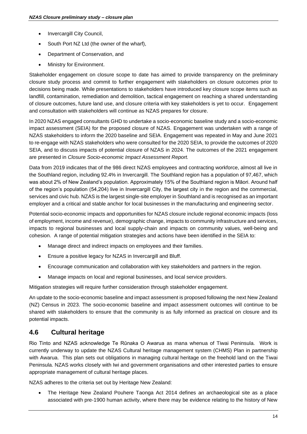- Invercargill City Council.
- South Port NZ Ltd (the owner of the wharf),
- Department of Conservation, and
- Ministry for Environment.

Stakeholder engagement on closure scope to date has aimed to provide transparency on the preliminary closure study process and commit to further engagement with stakeholders on closure outcomes prior to decisions being made. While presentations to stakeholders have introduced key closure scope items such as landfill, contamination, remediation and demolition, tactical engagement on reaching a shared understanding of closure outcomes, future land use, and closure criteria with key stakeholders is yet to occur. Engagement and consultation with stakeholders will continue as NZAS prepares for closure.

In 2020 NZAS engaged consultants GHD to undertake a socio-economic baseline study and a socio-economic impact assessment (SEIA) for the proposed closure of NZAS. Engagement was undertaken with a range of NZAS stakeholders to inform the 2020 baseline and SEIA. Engagement was repeated in May and June 2021 to re-engage with NZAS stakeholders who were consulted for the 2020 SEIA, to provide the outcomes of 2020 SEIA, and to discuss impacts of potential closure of NZAS in 2024. The outcomes of the 2021 engagement are presented in *Closure Socio-economic Impact Assessment Report.*

Data from 2019 indicates that of the 986 direct NZAS employees and contracting workforce, almost all live in the Southland region, including 92.4% in Invercargill. The Southland region has a population of 97,467, which was about 2% of New Zealand's population. Approximately 15% of the Southland region is Māori. Around half of the region's population (54,204) live in Invercargill City, the largest city in the region and the commercial, services and civic hub. NZAS is the largest single-site employer in Southland and is recognised as an important employer and a critical and stable anchor for local businesses in the manufacturing and engineering sector.

Potential socio-economic impacts and opportunities for NZAS closure include regional economic impacts (loss of employment, income and revenue), demographic change, impacts to community infrastructure and services, impacts to regional businesses and local supply-chain and impacts on community values, well-being and cohesion. A range of potential mitigation strategies and actions have been identified in the SEIA to:

- Manage direct and indirect impacts on employees and their families.
- Ensure a positive legacy for NZAS in Invercargill and Bluff.
- Encourage communication and collaboration with key stakeholders and partners in the region.
- Manage impacts on local and regional businesses, and local service providers.

Mitigation strategies will require further consideration through stakeholder engagement.

An update to the socio-economic baseline and impact assessment is proposed following the next New Zealand (NZ) Census in 2023. The socio-economic baseline and impact assessment outcomes will continue to be shared with stakeholders to ensure that the community is as fully informed as practical on closure and its potential impacts.

#### <span id="page-13-0"></span>**4.6 Cultural heritage**

Rio Tinto and NZAS acknowledge Te Rūnaka O Awarua as mana whenua of Tiwai Peninsula. Work is currently underway to update the NZAS Cultural heritage management system (CHMS) Plan in partnership with Awarua. This plan sets out obligations in managing cultural heritage on the freehold land on the Tiwai Peninsula. NZAS works closely with Iwi and government organisations and other interested parties to ensure appropriate management of cultural heritage places.

NZAS adheres to the criteria set out by Heritage New Zealand:

• The Heritage New Zealand Pouhere Taonga Act 2014 defines an archaeological site as a place associated with pre-1900 human activity, where there may be evidence relating to the history of New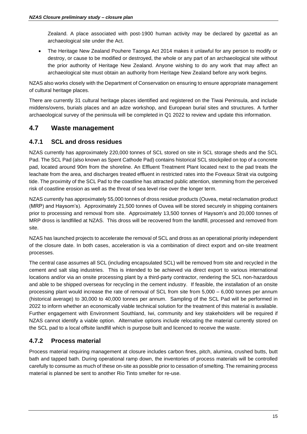Zealand. A place associated with post-1900 human activity may be declared by gazettal as an archaeological site under the Act.

• The Heritage New Zealand Pouhere Taonga Act 2014 makes it unlawful for any person to modify or destroy, or cause to be modified or destroyed, the whole or any part of an archaeological site without the prior authority of Heritage New Zealand. Anyone wishing to do any work that may affect an archaeological site must obtain an authority from Heritage New Zealand before any work begins.

NZAS also works closely with the Department of Conservation on ensuring to ensure appropriate management of cultural heritage places.

There are currently 31 cultural heritage places identified and registered on the Tiwai Peninsula, and include middens/ovens, burials places and an adze workshop, and European burial sites and structures. A further archaeological survey of the peninsula will be completed in Q1 2022 to review and update this information.

### <span id="page-14-0"></span>**4.7 Waste management**

#### <span id="page-14-1"></span>**4.7.1 SCL and dross residues**

NZAS currently has approximately 220,000 tonnes of SCL stored on site in SCL storage sheds and the SCL Pad. The SCL Pad (also known as Spent Cathode Pad) contains historical SCL stockpiled on top of a concrete pad, located around 90m from the shoreline. An Effluent Treatment Plant located next to the pad treats the leachate from the area, and discharges treated effluent in restricted rates into the Foveaux Strait via outgoing tide. The proximity of the SCL Pad to the coastline has attracted public attention, stemming from the perceived risk of coastline erosion as well as the threat of sea level rise over the longer term.

NZAS currently has approximately 55,000 tonnes of dross residue products (Ouvea, metal reclamation product (MRP) and Haysom's). Approximately 21,500 tonnes of Ouvea will be stored securely in shipping containers prior to processing and removal from site. Approximately 13,500 tonnes of Haysom's and 20,000 tonnes of MRP dross is landfilled at NZAS. This dross will be recovered from the landfill, processed and removed from site.

NZAS has launched projects to accelerate the removal of SCL and dross as an operational priority independent of the closure date. In both cases, acceleration is via a combination of direct export and on-site treatment processes.

The central case assumes all SCL (including encapsulated SCL) will be removed from site and recycled in the cement and salt slag industries. This is intended to be achieved via direct export to various international locations and/or via an onsite processing plant by a third-party contractor, rendering the SCL non-hazardous and able to be shipped overseas for recycling in the cement industry. If feasible, the installation of an onsite processing plant would increase the rate of removal of SCL from site from 5,000 – 6,000 tonnes per annum (historical average) to 30,000 to 40,000 tonnes per annum. Sampling of the SCL Pad will be performed in 2022 to inform whether an economically viable technical solution for the treatment of this material is available. Further engagement with Environment Southland, Iwi, community and key stakeholders will be required if NZAS cannot identify a viable option. Alternative options include relocating the material currently stored on the SCL pad to a local offsite landfill which is purpose built and licenced to receive the waste.

#### <span id="page-14-2"></span>**4.7.2 Process material**

Process material requiring management at closure includes carbon fines, pitch, alumina, crushed butts, butt bath and tapped bath. During operational ramp down, the inventories of process materials will be controlled carefully to consume as much of these on-site as possible prior to cessation of smelting. The remaining process material is planned be sent to another Rio Tinto smelter for re-use.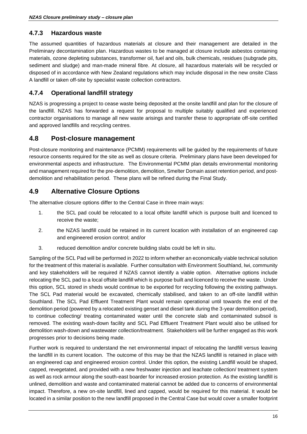#### <span id="page-15-0"></span>**4.7.3 Hazardous waste**

The assumed quantities of hazardous materials at closure and their management are detailed in the Preliminary decontamination plan. Hazardous wastes to be managed at closure include asbestos containing materials, ozone depleting substances, transformer oil, fuel and oils, bulk chemicals, residues (subgrade pits, sediment and sludge) and man-made mineral fibre. At closure, all hazardous materials will be recycled or disposed of in accordance with New Zealand regulations which may include disposal in the new onsite Class A landfill or taken off-site by specialist waste collection contractors.

#### <span id="page-15-1"></span>**4.7.4 Operational landfill strategy**

NZAS is progressing a project to cease waste being deposited at the onsite landfill and plan for the closure of the landfill. NZAS has forwarded a request for proposal to multiple suitably qualified and experienced contractor organisations to manage all new waste arisings and transfer these to appropriate off-site certified and approved landfills and recycling centres.

#### <span id="page-15-2"></span>**4.8 Post-closure management**

Post-closure monitoring and maintenance (PCMM) requirements will be guided by the requirements of future resource consents required for the site as well as closure criteria. Preliminary plans have been developed for environmental aspects and infrastructure. The Environmental PCMM plan details environmental monitoring and management required for the pre-demolition, demolition, Smelter Domain asset retention period, and postdemolition and rehabilitation period. These plans will be refined during the Final Study.

### <span id="page-15-3"></span>**4.9 Alternative Closure Options**

The alternative closure options differ to the Central Case in three main ways:

- 1. the SCL pad could be relocated to a local offsite landfill which is purpose built and licenced to receive the waste;
- 2. the NZAS landfill could be retained in its current location with installation of an engineered cap and engineered erosion control; and/or
- 3. reduced demolition and/or concrete building slabs could be left in situ.

Sampling of the SCL Pad will be performed in 2022 to inform whether an economically viable technical solution for the treatment of this material is available. Further consultation with Environment Southland, Iwi, community and key stakeholders will be required if NZAS cannot identify a viable option. Alternative options include relocating the SCL pad to a local offsite landfill which is purpose built and licenced to receive the waste. Under this option, SCL stored in sheds would continue to be exported for recycling following the existing pathways. The SCL Pad material would be excavated, chemically stabilised, and taken to an off-site landfill within Southland. The SCL Pad Effluent Treatment Plant would remain operational until towards the end of the demolition period (powered by a relocated existing genset and diesel tank during the 3-year demolition period), to continue collecting/ treating contaminated water until the concrete slab and contaminated subsoil is removed. The existing wash-down facility and SCL Pad Effluent Treatment Plant would also be utilised for demolition wash-down and wastewater collection/treatment. Stakeholders will be further engaged as this work progresses prior to decisions being made.

Further work is required to understand the net environmental impact of relocating the landfill versus leaving the landfill in its current location. The outcome of this may be that the NZAS landfill is retained in place with an engineered cap and engineered erosion control. Under this option, the existing Landfill would be shaped, capped, revegetated, and provided with a new freshwater injection and leachate collection/ treatment system as well as rock armour along the south-east boarder for increased erosion protection. As the existing landfill is unlined, demolition and waste and contaminated material cannot be added due to concerns of environmental impact. Therefore, a new on-site landfill, lined and capped, would be required for this material. It would be located in a similar position to the new landfill proposed in the Central Case but would cover a smaller footprint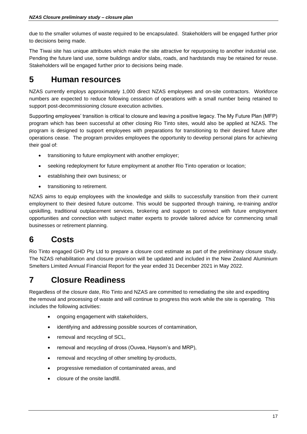due to the smaller volumes of waste required to be encapsulated. Stakeholders will be engaged further prior to decisions being made.

The Tiwai site has unique attributes which make the site attractive for repurposing to another industrial use. Pending the future land use, some buildings and/or slabs, roads, and hardstands may be retained for reuse. Stakeholders will be engaged further prior to decisions being made.

## <span id="page-16-0"></span>**5 Human resources**

NZAS currently employs approximately 1,000 direct NZAS employees and on-site contractors. Workforce numbers are expected to reduce following cessation of operations with a small number being retained to support post-decommissioning closure execution activities.

Supporting employees' transition is critical to closure and leaving a positive legacy. The My Future Plan (MFP) program which has been successful at other closing Rio Tinto sites, would also be applied at NZAS. The program is designed to support employees with preparations for transitioning to their desired future after operations cease. The program provides employees the opportunity to develop personal plans for achieving their goal of:

- transitioning to future employment with another employer;
- seeking redeployment for future employment at another Rio Tinto operation or location;
- establishing their own business; or
- transitioning to retirement.

NZAS aims to equip employees with the knowledge and skills to successfully transition from their current employment to their desired future outcome. This would be supported through training, re-training and/or upskilling, traditional outplacement services, brokering and support to connect with future employment opportunities and connection with subject matter experts to provide tailored advice for commencing small businesses or retirement planning.

## <span id="page-16-1"></span>**6 Costs**

Rio Tinto engaged GHD Pty Ltd to prepare a closure cost estimate as part of the preliminary closure study. The NZAS rehabilitation and closure provision will be updated and included in the New Zealand Aluminium Smelters Limited Annual Financial Report for the year ended 31 December 2021 in May 2022.

# <span id="page-16-2"></span>**7 Closure Readiness**

Regardless of the closure date, Rio Tinto and NZAS are committed to remediating the site and expediting the removal and processing of waste and will continue to progress this work while the site is operating. This includes the following activities:

- ongoing engagement with stakeholders,
- identifying and addressing possible sources of contamination,
- removal and recycling of SCL.
- removal and recycling of dross (Ouvea, Haysom's and MRP),
- removal and recycling of other smelting by-products,
- progressive remediation of contaminated areas, and
- closure of the onsite landfill.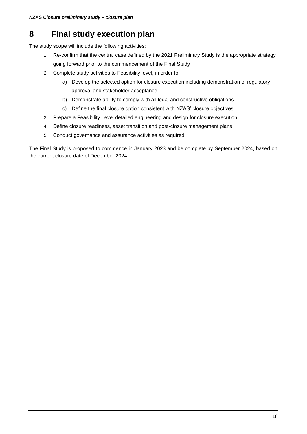## <span id="page-17-0"></span>**8 Final study execution plan**

The study scope will include the following activities:

- 1. Re-confirm that the central case defined by the 2021 Preliminary Study is the appropriate strategy going forward prior to the commencement of the Final Study
- 2. Complete study activities to Feasibility level, in order to:
	- a) Develop the selected option for closure execution including demonstration of regulatory approval and stakeholder acceptance
	- b) Demonstrate ability to comply with all legal and constructive obligations
	- c) Define the final closure option consistent with NZAS' closure objectives
- 3. Prepare a Feasibility Level detailed engineering and design for closure execution
- 4. Define closure readiness, asset transition and post-closure management plans
- 5. Conduct governance and assurance activities as required

The Final Study is proposed to commence in January 2023 and be complete by September 2024, based on the current closure date of December 2024.